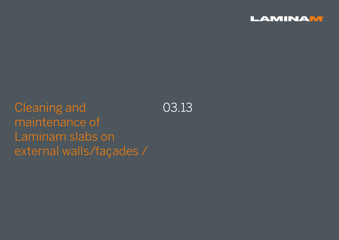

Cleaning and maintenance of Laminam slabs on external walls/façades / 03.13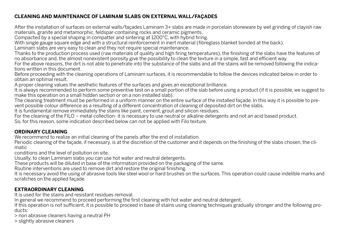# **CLEANING AND MAINTENANCE OF LAMINAM SLABS ON EXTERNAL WALL/FAÇADES**

After the installation of surfaces on external walls/façades Laminam 3+ slabs are made in porcelain stoneware by wet grinding of clayish raw materials, granite and metamorphic, feldspar-containing rocks and ceramic pigments.

Compacted by a special shaping in compatter and sintering at 1200°C, with hybrid firing.

With single gauge square edge and with a structural reinforcement in inert material (fibreglass blanket bonded at the back).

Laminam slabs are very easy to clean and they not require special maintenance.

Thanks to the production process used (raw materials of quality and high firing temperatures), the finishing of the slabs have the features of no absorbance and, the almost nonexistent porosity give the possibility to clean the texture in a simple, fast and efficient way.

For the above reasons, the dirt is not able to penetrate into the substance of the slabs and all the stains will be removed following the indications written in this document.

Before proceeding with the cleaning operations of Laminam surfaces, it is recommendable to follow the devices indicated below in order to obtain an optimal result.

A proper cleaning values the aesthetic features of the surfaces and gives an exceptional brilliance.

It is always recommended to perform some preventive test on a small portion of the slab before using a product (if it is possible, we suggest to make this operation on a small hidden section or on a non installed slab).

The cleaning treatment must be performed in a uniform manner on the entire surface of the installed facade. In this way it is possible to prevent possible colour difference as a resulting of a different concentration of cleaning of deposited dirt on the slabs.

It is fundamental remove immediately the stains like paint, cement, grout and silicon residues.

For the cleaning of the FILO – metal collection- it is necessary to use neutral or alkaline detergents and not an acid based product.

So, for this reason, some indication described below can not be applied with Filo texture.

# **ORDINARY CLEANING**

We recommend to realize an initial cleaning of the panels after the end of installation.

Periodic cleaning of the façade, if necessary, is at the discretion of the customer and it depends on the finishing of the slabs chosen, the climatic

conditions and the level of pollution on site.

Usually, to clean Laminam slabs you can use hot water and neutral detergents.

These products will be diluted in base of the information provided on the packaging of the same.

Routine interventions are used to remove dirt and restore the original finishing.

It is necessary avoid the using of abrasive tools like steel wool or hard brushes on the surfaces. This operation could cause indelible marks and scratches on the applied façade.

# **EXTRAORDINARY CLEANING**

It is used for the stains and resistant residues removal.

In general we recommend to proceed performing the first cleaning with hot water and neutral detergent.

If this operation is not sufficient, it is possible to proceed in base of stains using cleaning techniques gradually stronger and the following products:

> non abrasive cleaners having a neutral PH

> slightly abrasive cleaners